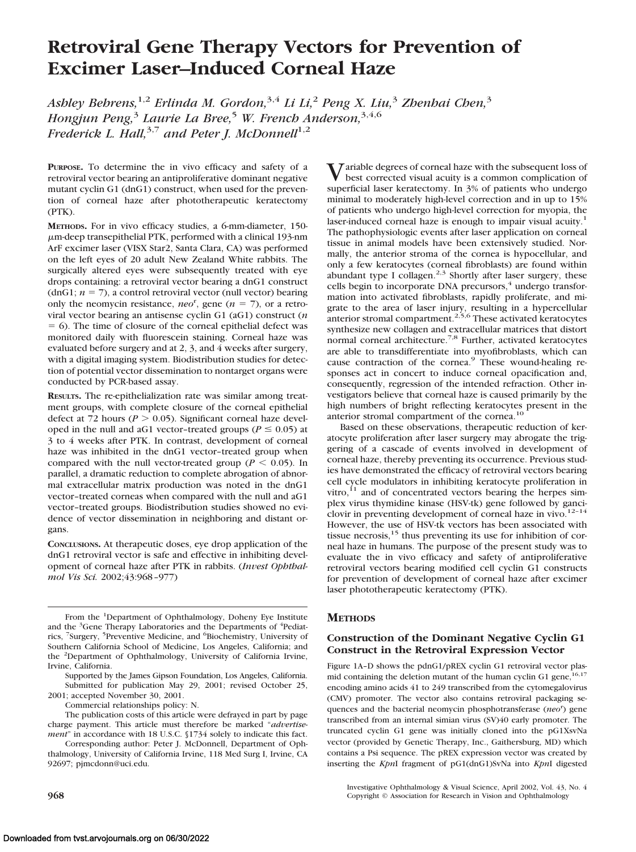# **Retroviral Gene Therapy Vectors for Prevention of Excimer Laser–Induced Corneal Haze**

*Ashley Behrens,*1,2 *Erlinda M. Gordon,*3,4 *Li Li,*<sup>2</sup> *Peng X. Liu,*<sup>3</sup> *Zhenhai Chen,*<sup>3</sup> *Hongjun Peng,*<sup>3</sup> *Laurie La Bree,*<sup>5</sup> *W. French Anderson,*3,4,6 *Frederick L. Hall*,<sup>3,7</sup> and Peter *J. McDonnell*<sup>1,2</sup>

**PURPOSE.** To determine the in vivo efficacy and safety of a retroviral vector bearing an antiproliferative dominant negative mutant cyclin G1 (dnG1) construct, when used for the prevention of corneal haze after phototherapeutic keratectomy (PTK).

**METHODS.** For in vivo efficacy studies, a 6-mm-diameter, 150 m-deep transepithelial PTK, performed with a clinical 193-nm ArF excimer laser (VISX Star2, Santa Clara, CA) was performed on the left eyes of 20 adult New Zealand White rabbits. The surgically altered eyes were subsequently treated with eye drops containing: a retroviral vector bearing a dnG1 construct (dnG1;  $n = 7$ ), a control retroviral vector (null vector) bearing only the neomycin resistance,  $neo<sup>r</sup>$ , gene ( $n = 7$ ), or a retroviral vector bearing an antisense cyclin G1 (aG1) construct (*n*  $= 6$ ). The time of closure of the corneal epithelial defect was monitored daily with fluorescein staining. Corneal haze was evaluated before surgery and at 2, 3, and 4 weeks after surgery, with a digital imaging system. Biodistribution studies for detection of potential vector dissemination to nontarget organs were conducted by PCR-based assay.

**RESULTS.** The re-epithelialization rate was similar among treatment groups, with complete closure of the corneal epithelial defect at 72 hours ( $P > 0.05$ ). Significant corneal haze developed in the null and aG1 vector-treated groups ( $P \le 0.05$ ) at 3 to 4 weeks after PTK. In contrast, development of corneal haze was inhibited in the dnG1 vector–treated group when compared with the null vector-treated group ( $P \leq 0.05$ ). In parallel, a dramatic reduction to complete abrogation of abnormal extracellular matrix production was noted in the dnG1 vector–treated corneas when compared with the null and aG1 vector–treated groups. Biodistribution studies showed no evidence of vector dissemination in neighboring and distant organs.

**CONCLUSIONS.** At therapeutic doses, eye drop application of the dnG1 retroviral vector is safe and effective in inhibiting development of corneal haze after PTK in rabbits. (*Invest Ophthalmol Vis Sci.* 2002;43:968–977)

From the <sup>1</sup>Department of Ophthalmology, Doheny Eye Institute and the <sup>3</sup>Gene Therapy Laboratories and the Departments of <sup>4</sup>Pediatrics, <sup>7</sup>Surgery, <sup>5</sup>Preventive Medicine, and <sup>6</sup>Biochemistry, University of Southern California School of Medicine, Los Angeles, California; and the <sup>2</sup> Department of Ophthalmology, University of California Irvine, Irvine, California.

Supported by the James Gipson Foundation, Los Angeles, California. Submitted for publication May 29, 2001; revised October 25, 2001; accepted November 30, 2001.

Commercial relationships policy: N.

The publication costs of this article were defrayed in part by page charge payment. This article must therefore be marked "*advertisement*" in accordance with 18 U.S.C. §1734 solely to indicate this fact.

Corresponding author: Peter J. McDonnell, Department of Ophthalmology, University of California Irvine, 118 Med Surg I, Irvine, CA 92697; pjmcdonn@uci.edu.

Variable degrees of corneal haze with the subsequent loss of best corrected visual acuity is a common complication of superficial laser keratectomy. In 3% of patients who undergo minimal to moderately high-level correction and in up to 15% of patients who undergo high-level correction for myopia, the laser-induced corneal haze is enough to impair visual acuity.<sup>1</sup> The pathophysiologic events after laser application on corneal tissue in animal models have been extensively studied. Normally, the anterior stroma of the cornea is hypocellular, and only a few keratocytes (corneal fibroblasts) are found within abundant type I collagen. $2,3$  Shortly after laser surgery, these cells begin to incorporate DNA precursors,<sup>4</sup> undergo transformation into activated fibroblasts, rapidly proliferate, and migrate to the area of laser injury, resulting in a hypercellular anterior stromal compartment.<sup>2,5,6</sup> These activated keratocytes synthesize new collagen and extracellular matrices that distort normal corneal architecture.<sup>7,8</sup> Further, activated keratocytes are able to transdifferentiate into myofibroblasts, which can cause contraction of the cornea.<sup>9</sup> These wound-healing responses act in concert to induce corneal opacification and, consequently, regression of the intended refraction. Other investigators believe that corneal haze is caused primarily by the high numbers of bright reflecting keratocytes present in the anterior stromal compartment of the cornea.<sup>10</sup>

Based on these observations, therapeutic reduction of keratocyte proliferation after laser surgery may abrogate the triggering of a cascade of events involved in development of corneal haze, thereby preventing its occurrence. Previous studies have demonstrated the efficacy of retroviral vectors bearing cell cycle modulators in inhibiting keratocyte proliferation in vitro, $^{11}$  and of concentrated vectors bearing the herpes simplex virus thymidine kinase (HSV-tk) gene followed by ganciclovir in preventing development of corneal haze in vivo. $12-14$ However, the use of HSV-tk vectors has been associated with tissue necrosis,<sup>15</sup> thus preventing its use for inhibition of corneal haze in humans. The purpose of the present study was to evaluate the in vivo efficacy and safety of antiproliferative retroviral vectors bearing modified cell cyclin G1 constructs for prevention of development of corneal haze after excimer laser phototherapeutic keratectomy (PTK).

## **METHODS**

# **Construction of the Dominant Negative Cyclin G1 Construct in the Retroviral Expression Vector**

Figure 1A–D shows the pdnG1/pREX cyclin G1 retroviral vector plasmid containing the deletion mutant of the human cyclin G1 gene,  $16,17$ encoding amino acids 41 to 249 transcribed from the cytomegalovirus (CMV) promoter. The vector also contains retroviral packaging sequences and the bacterial neomycin phosphotransferase (neo<sup>r</sup>) gene transcribed from an internal simian virus (SV)40 early promoter. The truncated cyclin G1 gene was initially cloned into the pG1XsvNa vector (provided by Genetic Therapy, Inc., Gaithersburg, MD) which contains a Psi sequence. The pREX expression vector was created by inserting the *Kpn*I fragment of pG1(dnG1)SvNa into *Kpn*I digested

Investigative Ophthalmology & Visual Science, April 2002, Vol. 43, No. 4 **968** Copyright © Association for Research in Vision and Ophthalmology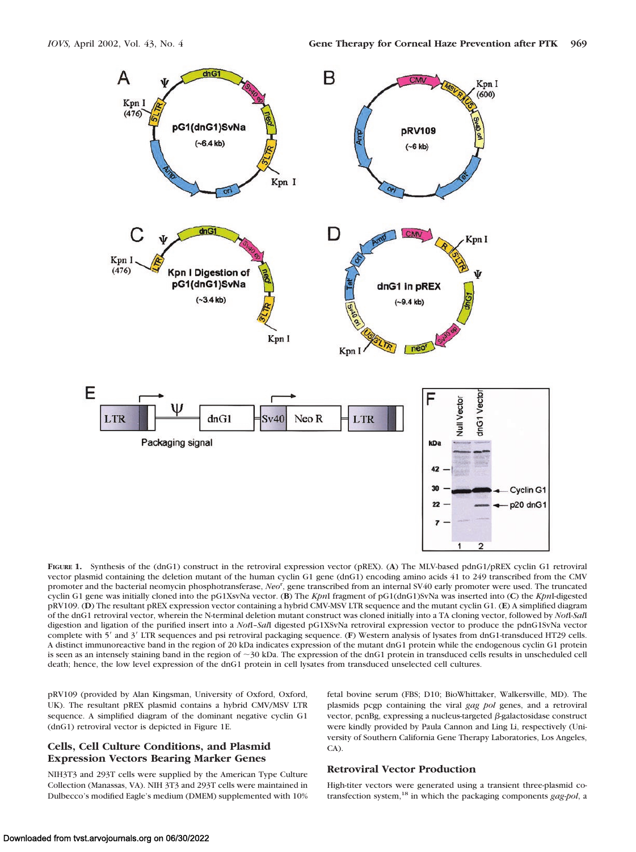

**FIGURE 1.** Synthesis of the (dnG1) construct in the retroviral expression vector (pREX). (**A**) The MLV-based pdnG1/pREX cyclin G1 retroviral vector plasmid containing the deletion mutant of the human cyclin G1 gene (dnG1) encoding amino acids 41 to 249 transcribed from the CMV promoter and the bacterial neomycin phosphotransferase, *Neo*<sup>r</sup> , gene transcribed from an internal SV40 early promoter were used. The truncated cyclin G1 gene was initially cloned into the pG1XsvNa vector. (**B**) The *Kpn*I fragment of pG1(dnG1)SvNa was inserted into (**C**) the *Kpn*I-digested pRV109. (**D**) The resultant pREX expression vector containing a hybrid CMV-MSV LTR sequence and the mutant cyclin G1. (**E**) A simplified diagram of the dnG1 retroviral vector, wherein the N-terminal deletion mutant construct was cloned initially into a TA cloning vector, followed by *Not*I-*Sal*I digestion and ligation of the purified insert into a *Not*I–*Sal*I digested pG1XSvNa retroviral expression vector to produce the pdnG1SvNa vector complete with 5' and 3' LTR sequences and psi retroviral packaging sequence. (F) Western analysis of lysates from dnG1-transduced HT29 cells. A distinct immunoreactive band in the region of 20 kDa indicates expression of the mutant dnG1 protein while the endogenous cyclin G1 protein is seen as an intensely staining band in the region of  $\sim$ 30 kDa. The expression of the dnG1 protein in transduced cells results in unscheduled cell death; hence, the low level expression of the dnG1 protein in cell lysates from transduced unselected cell cultures.

pRV109 (provided by Alan Kingsman, University of Oxford, Oxford, UK). The resultant pREX plasmid contains a hybrid CMV/MSV LTR sequence. A simplified diagram of the dominant negative cyclin G1 (dnG1) retroviral vector is depicted in Figure 1E.

## **Cells, Cell Culture Conditions, and Plasmid Expression Vectors Bearing Marker Genes**

NIH3T3 and 293T cells were supplied by the American Type Culture Collection (Manassas, VA). NIH 3T3 and 293T cells were maintained in Dulbecco's modified Eagle's medium (DMEM) supplemented with 10% fetal bovine serum (FBS; D10; BioWhittaker, Walkersville, MD). The plasmids pcgp containing the viral *gag pol* genes, and a retroviral vector, pcnBg, expressing a nucleus-targeted  $\beta$ -galactosidase construct were kindly provided by Paula Cannon and Ling Li, respectively (University of Southern California Gene Therapy Laboratories, Los Angeles, CA).

#### **Retroviral Vector Production**

High-titer vectors were generated using a transient three-plasmid cotransfection system,18 in which the packaging components *gag-pol*, a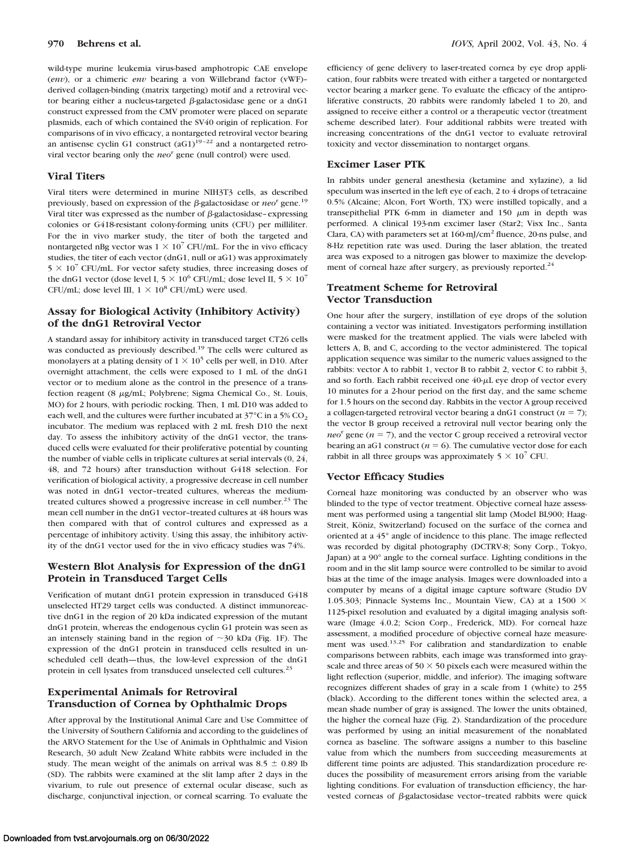wild-type murine leukemia virus-based amphotropic CAE envelope (*env*), or a chimeric *env* bearing a von Willebrand factor (vWF)– derived collagen-binding (matrix targeting) motif and a retroviral vector bearing either a nucleus-targeted  $\beta$ -galactosidase gene or a dnG1 construct expressed from the CMV promoter were placed on separate plasmids, each of which contained the SV40 origin of replication. For comparisons of in vivo efficacy, a nontargeted retroviral vector bearing an antisense cyclin G1 construct  $(aG1)^{19-22}$  and a nontargeted retroviral vector bearing only the *neo*<sup>r</sup> gene (null control) were used.

#### **Viral Titers**

Viral titers were determined in murine NIH3T3 cells, as described previously, based on expression of the  $\beta$ -galactosidase or *neo*<sup>r</sup> gene.<sup>19</sup> Viral titer was expressed as the number of  $\beta$ -galactosidase-expressing colonies or G418-resistant colony-forming units (CFU) per milliliter. For the in vivo marker study, the titer of both the targeted and nontargeted nBg vector was  $1 \times 10^7$  CFU/mL. For the in vivo efficacy studies, the titer of each vector (dnG1, null or aG1) was approximately  $5 \times 10^7$  CFU/mL. For vector safety studies, three increasing doses of the dnG1 vector (dose level I,  $5 \times 10^6$  CFU/mL; dose level II,  $5 \times 10^7$ CFU/mL; dose level III,  $1 \times 10^8$  CFU/mL) were used.

# **Assay for Biological Activity (Inhibitory Activity) of the dnG1 Retroviral Vector**

A standard assay for inhibitory activity in transduced target CT26 cells was conducted as previously described.<sup>19</sup> The cells were cultured as monolayers at a plating density of  $1 \times 10^5$  cells per well, in D10. After overnight attachment, the cells were exposed to 1 mL of the dnG1 vector or to medium alone as the control in the presence of a transfection reagent (8  $\mu$ g/mL; Polybrene; Sigma Chemical Co., St. Louis, MO) for 2 hours, with periodic rocking. Then, 1 mL D10 was added to each well, and the cultures were further incubated at  $37^{\circ}$ C in a 5% CO<sub>2</sub> incubator. The medium was replaced with 2 mL fresh D10 the next day. To assess the inhibitory activity of the dnG1 vector, the transduced cells were evaluated for their proliferative potential by counting the number of viable cells in triplicate cultures at serial intervals (0, 24, 48, and 72 hours) after transduction without G418 selection. For verification of biological activity, a progressive decrease in cell number was noted in dnG1 vector–treated cultures, whereas the mediumtreated cultures showed a progressive increase in cell number.<sup>23</sup> The mean cell number in the dnG1 vector–treated cultures at 48 hours was then compared with that of control cultures and expressed as a percentage of inhibitory activity. Using this assay, the inhibitory activity of the dnG1 vector used for the in vivo efficacy studies was 74%.

# **Western Blot Analysis for Expression of the dnG1 Protein in Transduced Target Cells**

Verification of mutant dnG1 protein expression in transduced G418 unselected HT29 target cells was conducted. A distinct immunoreactive dnG1 in the region of 20 kDa indicated expression of the mutant dnG1 protein, whereas the endogenous cyclin G1 protein was seen as an intensely staining band in the region of  $\sim$ 30 kDa (Fig. 1F). The expression of the dnG1 protein in transduced cells resulted in unscheduled cell death—thus, the low-level expression of the dnG1 protein in cell lysates from transduced unselected cell cultures.<sup>23</sup>

# **Experimental Animals for Retroviral Transduction of Cornea by Ophthalmic Drops**

After approval by the Institutional Animal Care and Use Committee of the University of Southern California and according to the guidelines of the ARVO Statement for the Use of Animals in Ophthalmic and Vision Research, 30 adult New Zealand White rabbits were included in the study. The mean weight of the animals on arrival was  $8.5 \pm 0.89$  lb (SD). The rabbits were examined at the slit lamp after 2 days in the vivarium, to rule out presence of external ocular disease, such as discharge, conjunctival injection, or corneal scarring. To evaluate the efficiency of gene delivery to laser-treated cornea by eye drop application, four rabbits were treated with either a targeted or nontargeted vector bearing a marker gene. To evaluate the efficacy of the antiproliferative constructs, 20 rabbits were randomly labeled 1 to 20, and assigned to receive either a control or a therapeutic vector (treatment scheme described later). Four additional rabbits were treated with increasing concentrations of the dnG1 vector to evaluate retroviral toxicity and vector dissemination to nontarget organs.

#### **Excimer Laser PTK**

In rabbits under general anesthesia (ketamine and xylazine), a lid speculum was inserted in the left eye of each, 2 to 4 drops of tetracaine 0.5% (Alcaine; Alcon, Fort Worth, TX) were instilled topically, and a transepithelial PTK 6-mm in diameter and 150  $\mu$ m in depth was performed. A clinical 193-nm excimer laser (Star2; Visx Inc., Santa Clara, CA) with parameters set at 160-mJ/cm2 fluence, 20-ns pulse, and 8-Hz repetition rate was used. During the laser ablation, the treated area was exposed to a nitrogen gas blower to maximize the development of corneal haze after surgery, as previously reported. $^{24}$ 

# **Treatment Scheme for Retroviral Vector Transduction**

One hour after the surgery, instillation of eye drops of the solution containing a vector was initiated. Investigators performing instillation were masked for the treatment applied. The vials were labeled with letters A, B, and C, according to the vector administered. The topical application sequence was similar to the numeric values assigned to the rabbits: vector A to rabbit 1, vector B to rabbit 2, vector C to rabbit 3, and so forth. Each rabbit received one  $40-\mu L$  eye drop of vector every 10 minutes for a 2-hour period on the first day, and the same scheme for 1.5 hours on the second day. Rabbits in the vector A group received a collagen-targeted retroviral vector bearing a dnG1 construct  $(n = 7)$ ; the vector B group received a retroviral null vector bearing only the *neo*<sup>r</sup> gene ( $n = 7$ ), and the vector C group received a retroviral vector bearing an aG1 construct ( $n = 6$ ). The cumulative vector dose for each rabbit in all three groups was approximately  $5 \times 10^7$  CFU.

## **Vector Efficacy Studies**

Corneal haze monitoring was conducted by an observer who was blinded to the type of vector treatment. Objective corneal haze assessment was performed using a tangential slit lamp (Model BL900; Haag-Streit, Köniz, Switzerland) focused on the surface of the cornea and oriented at a 45° angle of incidence to this plane. The image reflected was recorded by digital photography (DCTRV-8; Sony Corp., Tokyo, Japan) at a 90° angle to the corneal surface. Lighting conditions in the room and in the slit lamp source were controlled to be similar to avoid bias at the time of the image analysis. Images were downloaded into a computer by means of a digital image capture software (Studio DV 1.05.303; Pinnacle Systems Inc., Mountain View, CA) at a 1500  $\times$ 1125-pixel resolution and evaluated by a digital imaging analysis software (Image 4.0.2; Scion Corp., Frederick, MD). For corneal haze assessment, a modified procedure of objective corneal haze measurement was used.<sup>13,25</sup> For calibration and standardization to enable comparisons between rabbits, each image was transformed into grayscale and three areas of 50  $\times$  50 pixels each were measured within the light reflection (superior, middle, and inferior). The imaging software recognizes different shades of gray in a scale from 1 (white) to 255 (black). According to the different tones within the selected area, a mean shade number of gray is assigned. The lower the units obtained, the higher the corneal haze (Fig. 2). Standardization of the procedure was performed by using an initial measurement of the nonablated cornea as baseline. The software assigns a number to this baseline value from which the numbers from succeeding measurements at different time points are adjusted. This standardization procedure reduces the possibility of measurement errors arising from the variable lighting conditions. For evaluation of transduction efficiency, the harvested corneas of  $\beta$ -galactosidase vector-treated rabbits were quick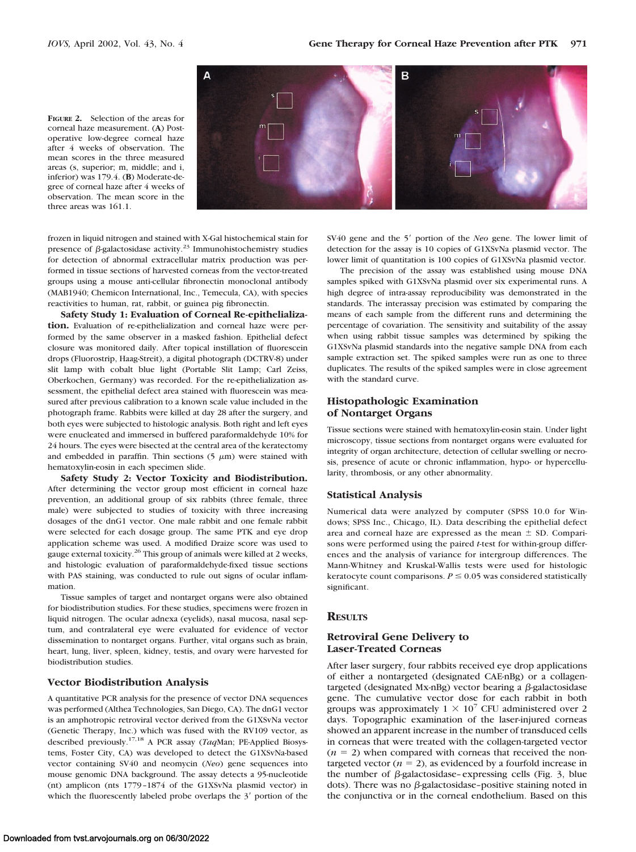**FIGURE 2.** Selection of the areas for corneal haze measurement. (**A**) Postoperative low-degree corneal haze after 4 weeks of observation. The mean scores in the three measured areas (s, superior; m, middle; and i, inferior) was 179.4. (**B**) Moderate-degree of corneal haze after 4 weeks of observation. The mean score in the three areas was 161.1.



frozen in liquid nitrogen and stained with X-Gal histochemical stain for presence of  $\beta$ -galactosidase activity.<sup>23</sup> Immunohistochemistry studies for detection of abnormal extracellular matrix production was performed in tissue sections of harvested corneas from the vector-treated groups using a mouse anti-cellular fibronectin monoclonal antibody (MAB1940; Chemicon International, Inc., Temecula, CA), with species reactivities to human, rat, rabbit, or guinea pig fibronectin.

**Safety Study 1: Evaluation of Corneal Re-epithelialization.** Evaluation of re-epithelialization and corneal haze were performed by the same observer in a masked fashion. Epithelial defect closure was monitored daily. After topical instillation of fluorescein drops (Fluorostrip, Haag-Streit), a digital photograph (DCTRV-8) under slit lamp with cobalt blue light (Portable Slit Lamp; Carl Zeiss, Oberkochen, Germany) was recorded. For the re-epithelialization assessment, the epithelial defect area stained with fluorescein was measured after previous calibration to a known scale value included in the photograph frame. Rabbits were killed at day 28 after the surgery, and both eyes were subjected to histologic analysis. Both right and left eyes were enucleated and immersed in buffered paraformaldehyde 10% for 24 hours. The eyes were bisected at the central area of the keratectomy and embedded in paraffin. Thin sections (5  $\mu$ m) were stained with hematoxylin-eosin in each specimen slide.

**Safety Study 2: Vector Toxicity and Biodistribution.** After determining the vector group most efficient in corneal haze prevention, an additional group of six rabbits (three female, three male) were subjected to studies of toxicity with three increasing dosages of the dnG1 vector. One male rabbit and one female rabbit were selected for each dosage group. The same PTK and eye drop application scheme was used. A modified Draize score was used to gauge external toxicity.26 This group of animals were killed at 2 weeks, and histologic evaluation of paraformaldehyde-fixed tissue sections with PAS staining, was conducted to rule out signs of ocular inflammation.

Tissue samples of target and nontarget organs were also obtained for biodistribution studies. For these studies, specimens were frozen in liquid nitrogen. The ocular adnexa (eyelids), nasal mucosa, nasal septum, and contralateral eye were evaluated for evidence of vector dissemination to nontarget organs. Further, vital organs such as brain, heart, lung, liver, spleen, kidney, testis, and ovary were harvested for biodistribution studies.

#### **Vector Biodistribution Analysis**

A quantitative PCR analysis for the presence of vector DNA sequences was performed (Althea Technologies, San Diego, CA). The dnG1 vector is an amphotropic retroviral vector derived from the G1XSvNa vector (Genetic Therapy, Inc.) which was fused with the RV109 vector, as described previously.17,18 A PCR assay (*Taq*Man; PE-Applied Biosystems, Foster City, CA) was developed to detect the G1XSvNa-based vector containing SV40 and neomycin (*Neo*) gene sequences into mouse genomic DNA background. The assay detects a 95-nucleotide (nt) amplicon (nts 1779–1874 of the G1XSvNa plasmid vector) in which the fluorescently labeled probe overlaps the  $3'$  portion of the SV40 gene and the 5' portion of the *Neo* gene. The lower limit of detection for the assay is 10 copies of G1XSvNa plasmid vector. The lower limit of quantitation is 100 copies of G1XSvNa plasmid vector.

The precision of the assay was established using mouse DNA samples spiked with G1XSvNa plasmid over six experimental runs. A high degree of intra-assay reproducibility was demonstrated in the standards. The interassay precision was estimated by comparing the means of each sample from the different runs and determining the percentage of covariation. The sensitivity and suitability of the assay when using rabbit tissue samples was determined by spiking the G1XSvNa plasmid standards into the negative sample DNA from each sample extraction set. The spiked samples were run as one to three duplicates. The results of the spiked samples were in close agreement with the standard curve.

# **Histopathologic Examination of Nontarget Organs**

Tissue sections were stained with hematoxylin-eosin stain. Under light microscopy, tissue sections from nontarget organs were evaluated for integrity of organ architecture, detection of cellular swelling or necrosis, presence of acute or chronic inflammation, hypo- or hypercellularity, thrombosis, or any other abnormality.

#### **Statistical Analysis**

Numerical data were analyzed by computer (SPSS 10.0 for Windows; SPSS Inc., Chicago, IL). Data describing the epithelial defect area and corneal haze are expressed as the mean  $\pm$  SD. Comparisons were performed using the paired *t*-test for within-group differences and the analysis of variance for intergroup differences. The Mann-Whitney and Kruskal-Wallis tests were used for histologic keratocyte count comparisons.  $P \le 0.05$  was considered statistically significant.

## **RESULTS**

## **Retroviral Gene Delivery to Laser-Treated Corneas**

After laser surgery, four rabbits received eye drop applications of either a nontargeted (designated CAE-nBg) or a collagentargeted (designated Mx-nBg) vector bearing a  $\beta$ -galactosidase gene. The cumulative vector dose for each rabbit in both groups was approximately  $1 \times 10^7$  CFU administered over 2 days. Topographic examination of the laser-injured corneas showed an apparent increase in the number of transduced cells in corneas that were treated with the collagen-targeted vector  $(n = 2)$  when compared with corneas that received the nontargeted vector  $(n = 2)$ , as evidenced by a fourfold increase in the number of  $\beta$ -galactosidase–expressing cells (Fig. 3, blue dots). There was no  $\beta$ -galactosidase-positive staining noted in the conjunctiva or in the corneal endothelium. Based on this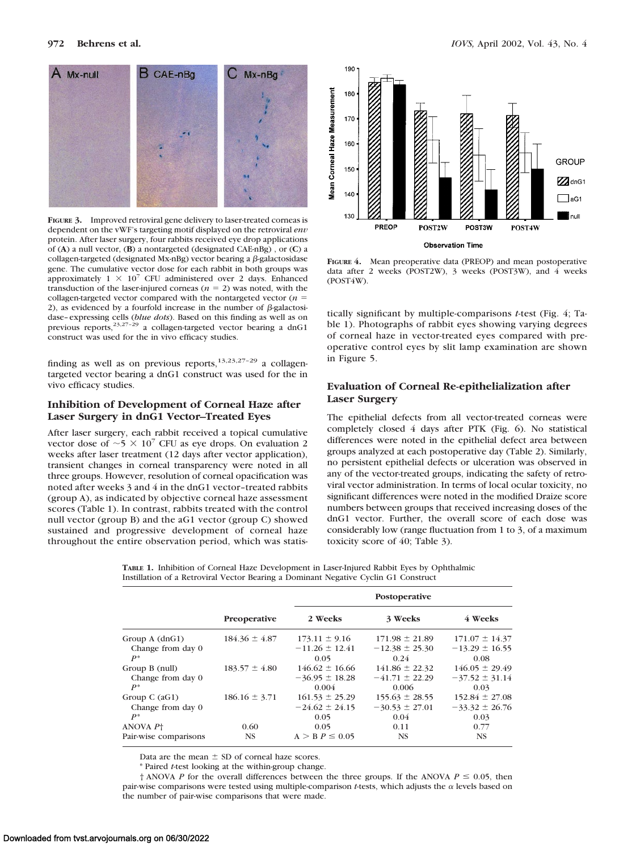

**FIGURE 3.** Improved retroviral gene delivery to laser-treated corneas is dependent on the vWF's targeting motif displayed on the retroviral *env* protein. After laser surgery, four rabbits received eye drop applications of (**A**) a null vector, (**B**) a nontargeted (designated CAE-nBg) , or (**C**) a collagen-targeted (designated Mx-nBg) vector bearing a  $\beta$ -galactosidase gene. The cumulative vector dose for each rabbit in both groups was approximately  $1 \times 10^{7}$  CFU administered over 2 days. Enhanced transduction of the laser-injured corneas  $(n = 2)$  was noted, with the collagen-targeted vector compared with the nontargeted vector  $(n =$ 2), as evidenced by a fourfold increase in the number of  $\beta$ -galactosidase–expressing cells (*blue dots*). Based on this finding as well as on previous reports,<sup>23,27–29</sup> a collagen-targeted vector bearing a dnG1 construct was used for the in vivo efficacy studies.

finding as well as on previous reports,  $13,23,27-29$  a collagentargeted vector bearing a dnG1 construct was used for the in vivo efficacy studies.

## **Inhibition of Development of Corneal Haze after Laser Surgery in dnG1 Vector–Treated Eyes**

After laser surgery, each rabbit received a topical cumulative vector dose of  $\sim$  5  $\times$  10<sup>7</sup> CFU as eye drops. On evaluation 2 weeks after laser treatment (12 days after vector application), transient changes in corneal transparency were noted in all three groups. However, resolution of corneal opacification was noted after weeks 3 and 4 in the dnG1 vector–treated rabbits (group A), as indicated by objective corneal haze assessment scores (Table 1). In contrast, rabbits treated with the control null vector (group B) and the aG1 vector (group C) showed sustained and progressive development of corneal haze throughout the entire observation period, which was statis-



**FIGURE 4.** Mean preoperative data (PREOP) and mean postoperative data after 2 weeks (POST2W), 3 weeks (POST3W), and 4 weeks (POST4W).

tically significant by multiple-comparisons *t*-test (Fig. 4; Table 1). Photographs of rabbit eyes showing varying degrees of corneal haze in vector-treated eyes compared with preoperative control eyes by slit lamp examination are shown in Figure 5.

# **Evaluation of Corneal Re-epithelialization after Laser Surgery**

The epithelial defects from all vector-treated corneas were completely closed 4 days after PTK (Fig. 6). No statistical differences were noted in the epithelial defect area between groups analyzed at each postoperative day (Table 2). Similarly, no persistent epithelial defects or ulceration was observed in any of the vector-treated groups, indicating the safety of retroviral vector administration. In terms of local ocular toxicity, no significant differences were noted in the modified Draize score numbers between groups that received increasing doses of the dnG1 vector. Further, the overall score of each dose was considerably low (range fluctuation from 1 to 3, of a maximum toxicity score of 40; Table 3).

**TABLE 1.** Inhibition of Corneal Haze Development in Laser-Injured Rabbit Eyes by Ophthalmic Instillation of a Retroviral Vector Bearing a Dominant Negative Cyclin G1 Construct

|                       | Preoperative      | Postoperative       |                    |                    |  |
|-----------------------|-------------------|---------------------|--------------------|--------------------|--|
|                       |                   | 2 Weeks             | 3 Weeks            | 4 Weeks            |  |
| Group $A$ (dnG1)      | $184.36 \pm 4.87$ | $173.11 \pm 9.16$   | $171.98 \pm 21.89$ | $171.07 \pm 14.37$ |  |
| Change from day 0     |                   | $-11.26 \pm 12.41$  | $-12.38 \pm 25.30$ | $-13.29 \pm 16.55$ |  |
| $P^*$                 |                   | 0.05                | 0.24               | 0.08               |  |
| Group B (null)        | $183.57 \pm 4.80$ | $146.62 \pm 16.66$  | $141.86 \pm 22.32$ | $146.05 \pm 29.49$ |  |
| Change from day 0     |                   | $-36.95 \pm 18.28$  | $-41.71 \pm 22.29$ | $-37.52 \pm 31.14$ |  |
| $P^*$                 |                   | 0.004               | 0.006              | 0.03               |  |
| Group C $(aG1)$       | $186.16 \pm 3.71$ | $161.53 \pm 25.29$  | $155.63 \pm 28.55$ | $152.84 \pm 27.08$ |  |
| Change from day 0     |                   | $-24.62 \pm 24.15$  | $-30.53 \pm 27.01$ | $-33.32 \pm 26.76$ |  |
| $P^*$                 |                   | 0.05                | 0.04               | 0.03               |  |
| ANOVA P†              | 0.60              | 0.05                | 0.11               | 0.77               |  |
| Pair-wise comparisons | <b>NS</b>         | $A > B P \leq 0.05$ | <b>NS</b>          | <b>NS</b>          |  |

Data are the mean  $\pm$  SD of corneal haze scores.

\* Paired *t*-test looking at the within-group change.

 $\dagger$  ANOVA *P* for the overall differences between the three groups. If the ANOVA  $P \le 0.05$ , then pair-wise comparisons were tested using multiple-comparison *t*-tests, which adjusts the  $\alpha$  levels based on the number of pair-wise comparisons that were made.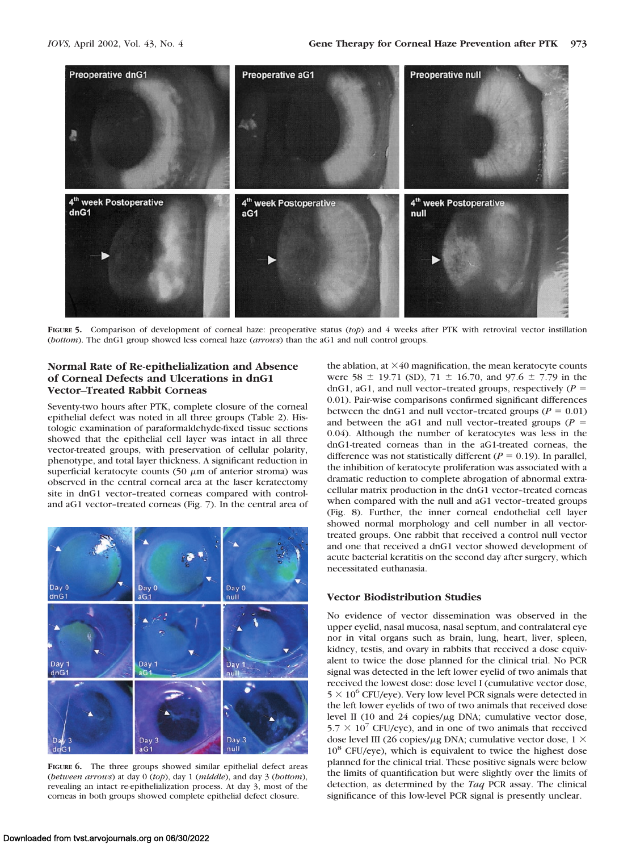

**FIGURE 5.** Comparison of development of corneal haze: preoperative status (*top*) and 4 weeks after PTK with retroviral vector instillation (*bottom*). The dnG1 group showed less corneal haze (*arrows*) than the aG1 and null control groups.

# **Normal Rate of Re-epithelialization and Absence of Corneal Defects and Ulcerations in dnG1 Vector–Treated Rabbit Corneas**

Seventy-two hours after PTK, complete closure of the corneal epithelial defect was noted in all three groups (Table 2). Histologic examination of paraformaldehyde-fixed tissue sections showed that the epithelial cell layer was intact in all three vector-treated groups, with preservation of cellular polarity, phenotype, and total layer thickness. A significant reduction in superficial keratocyte counts (50  $\mu$ m of anterior stroma) was observed in the central corneal area at the laser keratectomy site in dnG1 vector–treated corneas compared with controland aG1 vector–treated corneas (Fig. 7). In the central area of



**FIGURE 6.** The three groups showed similar epithelial defect areas (*between arrows*) at day 0 (*top*), day 1 (*middle*), and day 3 (*bottom*), revealing an intact re-epithelialization process. At day 3, most of the corneas in both groups showed complete epithelial defect closure.

the ablation, at  $\times$ 40 magnification, the mean keratocyte counts were 58  $\pm$  19.71 (SD), 71  $\pm$  16.70, and 97.6  $\pm$  7.79 in the dnG1, aG1, and null vector-treated groups, respectively  $(P =$ 0.01). Pair-wise comparisons confirmed significant differences between the dnG1 and null vector-treated groups ( $P = 0.01$ ) and between the aG1 and null vector-treated groups  $(P =$ 0.04). Although the number of keratocytes was less in the dnG1-treated corneas than in the aG1-treated corneas, the difference was not statistically different ( $P = 0.19$ ). In parallel, the inhibition of keratocyte proliferation was associated with a dramatic reduction to complete abrogation of abnormal extracellular matrix production in the dnG1 vector–treated corneas when compared with the null and aG1 vector-treated groups (Fig. 8). Further, the inner corneal endothelial cell layer showed normal morphology and cell number in all vectortreated groups. One rabbit that received a control null vector and one that received a dnG1 vector showed development of acute bacterial keratitis on the second day after surgery, which necessitated euthanasia.

# **Vector Biodistribution Studies**

No evidence of vector dissemination was observed in the upper eyelid, nasal mucosa, nasal septum, and contralateral eye nor in vital organs such as brain, lung, heart, liver, spleen, kidney, testis, and ovary in rabbits that received a dose equivalent to twice the dose planned for the clinical trial. No PCR signal was detected in the left lower eyelid of two animals that received the lowest dose: dose level I (cumulative vector dose,  $5 \times 10^6$  CFU/eye). Very low level PCR signals were detected in the left lower eyelids of two of two animals that received dose level II (10 and 24 copies/ $\mu$ g DNA; cumulative vector dose,  $5.7 \times 10^7$  CFU/eye), and in one of two animals that received dose level III (26 copies/ $\mu$ g DNA; cumulative vector dose, 1  $\times$ 108 CFU/eye), which is equivalent to twice the highest dose planned for the clinical trial. These positive signals were below the limits of quantification but were slightly over the limits of detection, as determined by the *Taq* PCR assay. The clinical significance of this low-level PCR signal is presently unclear.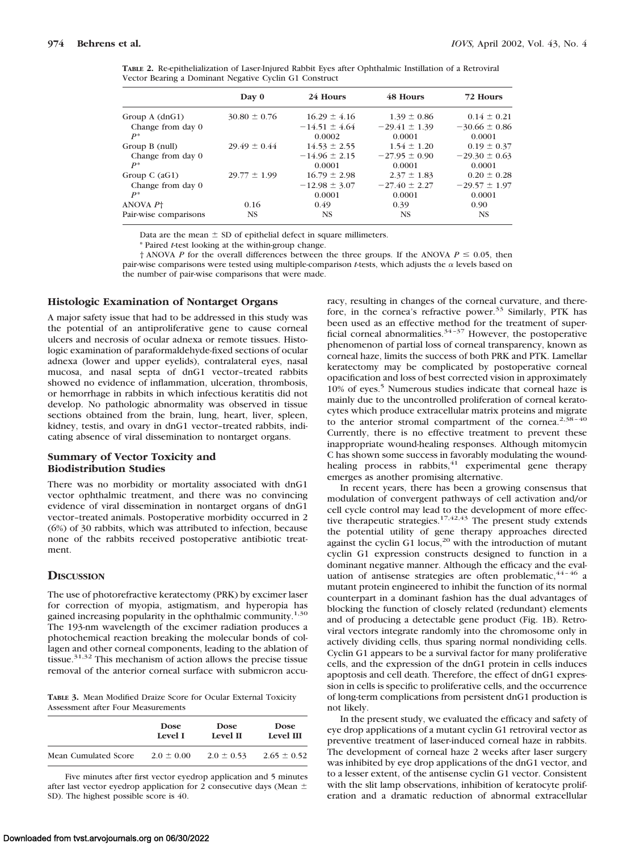| <b>TABLE 2.</b> Re-epithelialization of Laser-Injured Rabbit Eyes after Ophthalmic Instillation of a Retroviral |  |  |  |  |
|-----------------------------------------------------------------------------------------------------------------|--|--|--|--|
| Vector Bearing a Dominant Negative Cyclin G1 Construct                                                          |  |  |  |  |

|                       | Day 0            | 24 Hours          | 48 Hours          | 72 Hours          |  |
|-----------------------|------------------|-------------------|-------------------|-------------------|--|
| Group $A$ (dnG1)      | $30.80 \pm 0.76$ | $16.29 \pm 4.16$  | $1.39 \pm 0.86$   | $0.14 \pm 0.21$   |  |
| Change from day 0     |                  | $-14.51 \pm 4.64$ | $-29.41 \pm 1.39$ | $-30.66 \pm 0.86$ |  |
| $P^*$                 |                  | 0.0002            | 0.0001            | 0.0001            |  |
| Group B (null)        | $29.49 \pm 0.44$ | $14.53 \pm 2.55$  | $1.54 \pm 1.20$   | $0.19 \pm 0.37$   |  |
| Change from day 0     |                  | $-14.96 \pm 2.15$ | $-27.95 \pm 0.90$ | $-29.30 \pm 0.63$ |  |
| $P^*$                 |                  | 0.0001            | 0.0001            | 0.0001            |  |
| Group C $(aG1)$       | $29.77 \pm 1.99$ | $16.79 \pm 2.98$  | $2.37 \pm 1.83$   | $0.20 \pm 0.28$   |  |
| Change from day 0     |                  | $-12.98 \pm 3.07$ | $-27.40 \pm 2.27$ | $-29.57 \pm 1.97$ |  |
| $P^*$                 |                  | 0.0001            | 0.0001            | 0.0001            |  |
| ANOVA P <sup>+</sup>  | 0.16             | 0.49              | 0.39              | 0.90              |  |
| Pair-wise comparisons | <b>NS</b>        | <b>NS</b>         | <b>NS</b>         | <b>NS</b>         |  |

Data are the mean  $\pm$  SD of epithelial defect in square millimeters.

\* Paired *t*-test looking at the within-group change.

 $\dagger$  ANOVA *P* for the overall differences between the three groups. If the ANOVA  $P \le 0.05$ , then pair-wise comparisons were tested using multiple-comparison *t*-tests, which adjusts the  $\alpha$  levels based on the number of pair-wise comparisons that were made.

### **Histologic Examination of Nontarget Organs**

A major safety issue that had to be addressed in this study was the potential of an antiproliferative gene to cause corneal ulcers and necrosis of ocular adnexa or remote tissues. Histologic examination of paraformaldehyde-fixed sections of ocular adnexa (lower and upper eyelids), contralateral eyes, nasal mucosa, and nasal septa of dnG1 vector–treated rabbits showed no evidence of inflammation, ulceration, thrombosis, or hemorrhage in rabbits in which infectious keratitis did not develop. No pathologic abnormality was observed in tissue sections obtained from the brain, lung, heart, liver, spleen, kidney, testis, and ovary in dnG1 vector–treated rabbits, indicating absence of viral dissemination to nontarget organs.

# **Summary of Vector Toxicity and Biodistribution Studies**

There was no morbidity or mortality associated with dnG1 vector ophthalmic treatment, and there was no convincing evidence of viral dissemination in nontarget organs of dnG1 vector–treated animals. Postoperative morbidity occurred in 2 (6%) of 30 rabbits, which was attributed to infection, because none of the rabbits received postoperative antibiotic treatment.

## **DISCUSSION**

The use of photorefractive keratectomy (PRK) by excimer laser for correction of myopia, astigmatism, and hyperopia has gained increasing popularity in the ophthalmic community.<sup>1,30</sup> The 193-nm wavelength of the excimer radiation produces a photochemical reaction breaking the molecular bonds of collagen and other corneal components, leading to the ablation of tissue.<sup>31,32</sup> This mechanism of action allows the precise tissue removal of the anterior corneal surface with submicron accu-

**TABLE 3.** Mean Modified Draize Score for Ocular External Toxicity Assessment after Four Measurements

|                      | <b>Dose</b>    | <b>Dose</b>    | <b>Dose</b>     |
|----------------------|----------------|----------------|-----------------|
|                      | Level L        | Level II       | Level III       |
| Mean Cumulated Score | $2.0 \pm 0.00$ | $2.0 \pm 0.53$ | $2.65 \pm 0.52$ |

Five minutes after first vector eyedrop application and 5 minutes after last vector eyedrop application for 2 consecutive days (Mean  $\pm$ SD). The highest possible score is 40.

racy, resulting in changes of the corneal curvature, and therefore, in the cornea's refractive power.<sup>33</sup> Similarly, PTK has been used as an effective method for the treatment of superficial corneal abnormalities.<sup>34-37</sup> However, the postoperative phenomenon of partial loss of corneal transparency, known as corneal haze, limits the success of both PRK and PTK. Lamellar keratectomy may be complicated by postoperative corneal opacification and loss of best corrected vision in approximately 10% of eyes.<sup>5</sup> Numerous studies indicate that corneal haze is mainly due to the uncontrolled proliferation of corneal keratocytes which produce extracellular matrix proteins and migrate to the anterior stromal compartment of the cornea.<sup>2,38-40</sup> Currently, there is no effective treatment to prevent these inappropriate wound-healing responses. Although mitomycin C has shown some success in favorably modulating the woundhealing process in rabbits,<sup>41</sup> experimental gene therapy emerges as another promising alternative.

In recent years, there has been a growing consensus that modulation of convergent pathways of cell activation and/or cell cycle control may lead to the development of more effective therapeutic strategies.<sup>17,42,43</sup> The present study extends the potential utility of gene therapy approaches directed against the cyclin G1 locus,<sup>20</sup> with the introduction of mutant cyclin G1 expression constructs designed to function in a dominant negative manner. Although the efficacy and the evaluation of antisense strategies are often problematic,  $44 - 46$  a mutant protein engineered to inhibit the function of its normal counterpart in a dominant fashion has the dual advantages of blocking the function of closely related (redundant) elements and of producing a detectable gene product (Fig. 1B). Retroviral vectors integrate randomly into the chromosome only in actively dividing cells, thus sparing normal nondividing cells. Cyclin G1 appears to be a survival factor for many proliferative cells, and the expression of the dnG1 protein in cells induces apoptosis and cell death. Therefore, the effect of dnG1 expression in cells is specific to proliferative cells, and the occurrence of long-term complications from persistent dnG1 production is not likely.

In the present study, we evaluated the efficacy and safety of eye drop applications of a mutant cyclin G1 retroviral vector as preventive treatment of laser-induced corneal haze in rabbits. The development of corneal haze 2 weeks after laser surgery was inhibited by eye drop applications of the dnG1 vector, and to a lesser extent, of the antisense cyclin G1 vector. Consistent with the slit lamp observations, inhibition of keratocyte proliferation and a dramatic reduction of abnormal extracellular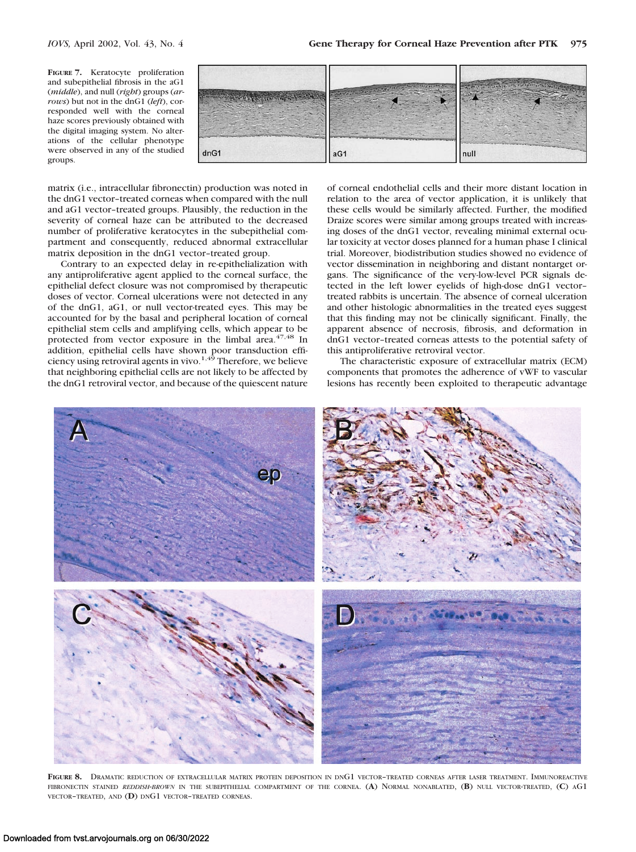**FIGURE 7.** Keratocyte proliferation and subepithelial fibrosis in the aG1 (*middle*), and null (*right*) groups (*arrows*) but not in the dnG1 (*left*), corresponded well with the corneal haze scores previously obtained with the digital imaging system. No alterations of the cellular phenotype were observed in any of the studied groups.



matrix (i.e., intracellular fibronectin) production was noted in the dnG1 vector–treated corneas when compared with the null and aG1 vector–treated groups. Plausibly, the reduction in the severity of corneal haze can be attributed to the decreased number of proliferative keratocytes in the subepithelial compartment and consequently, reduced abnormal extracellular matrix deposition in the dnG1 vector–treated group.

Contrary to an expected delay in re-epithelialization with any antiproliferative agent applied to the corneal surface, the epithelial defect closure was not compromised by therapeutic doses of vector. Corneal ulcerations were not detected in any of the dnG1, aG1, or null vector-treated eyes. This may be accounted for by the basal and peripheral location of corneal epithelial stem cells and amplifying cells, which appear to be protected from vector exposure in the limbal area.<sup>47,48</sup> In addition, epithelial cells have shown poor transduction effi-<br>ciency using retroviral agents in vivo.<sup>1,49</sup> Therefore, we believe that neighboring epithelial cells are not likely to be affected by the dnG1 retroviral vector, and because of the quiescent nature of corneal endothelial cells and their more distant location in relation to the area of vector application, it is unlikely that these cells would be similarly affected. Further, the modified Draize scores were similar among groups treated with increasing doses of the dnG1 vector, revealing minimal external ocular toxicity at vector doses planned for a human phase I clinical trial. Moreover, biodistribution studies showed no evidence of vector dissemination in neighboring and distant nontarget organs. The significance of the very-low-level PCR signals detected in the left lower eyelids of high-dose dnG1 vector– treated rabbits is uncertain. The absence of corneal ulceration and other histologic abnormalities in the treated eyes suggest that this finding may not be clinically significant. Finally, the apparent absence of necrosis, fibrosis, and deformation in dnG1 vector–treated corneas attests to the potential safety of this antiproliferative retroviral vector.

The characteristic exposure of extracellular matrix (ECM) components that promotes the adherence of vWF to vascular lesions has recently been exploited to therapeutic advantage



**FIGURE 8.** DRAMATIC REDUCTION OF EXTRACELLULAR MATRIX PROTEIN DEPOSITION IN DNG1 VECTOR–TREATED CORNEAS AFTER LASER TREATMENT. IMMUNOREACTIVE FIBRONECTIN STAINED *REDDISH-BROWN* IN THE SUBEPITHELIAL COMPARTMENT OF THE CORNEA. (**A**) NORMAL NONABLATED, (**B**) NULL VECTOR-TREATED, (**C**) AG1 VECTOR–TREATED, AND (**D**) DNG1 VECTOR–TREATED CORNEAS.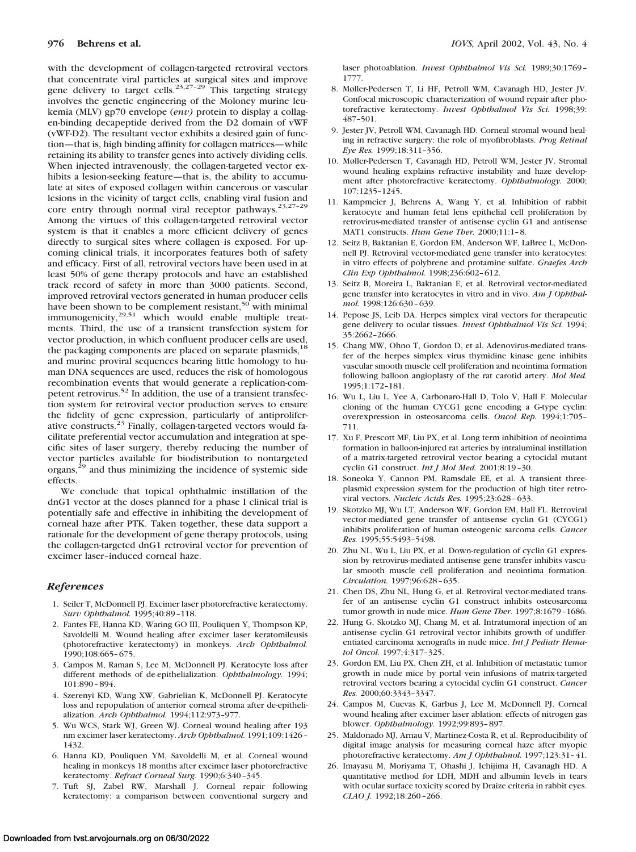with the development of collagen-targeted retroviral vectors that concentrate viral particles at surgical sites and improve gene delivery to target cells.<sup>23,27-29</sup> This targeting strategy involves the genetic engineering of the Moloney murine leukemia (MLV) gp70 envelope (*env)* protein to display a collagen-binding decapeptide derived from the D2 domain of vWF (vWF-D2). The resultant vector exhibits a desired gain of function—that is, high binding affinity for collagen matrices—while retaining its ability to transfer genes into actively dividing cells. When injected intravenously, the collagen-targeted vector exhibits a lesion-seeking feature—that is, the ability to accumulate at sites of exposed collagen within cancerous or vascular lesions in the vicinity of target cells, enabling viral fusion and core entry through normal viral receptor pathways.<sup>23,27-29</sup> Among the virtues of this collagen-targeted retroviral vector system is that it enables a more efficient delivery of genes directly to surgical sites where collagen is exposed. For upcoming clinical trials, it incorporates features both of safety and efficacy. First of all, retroviral vectors have been used in at least 50% of gene therapy protocols and have an established track record of safety in more than 3000 patients. Second, improved retroviral vectors generated in human producer cells have been shown to be complement resistant,<sup>50</sup> with minimal immunogenicity,<sup>29,51</sup> which would enable multiple treatments. Third, the use of a transient transfection system for vector production, in which confluent producer cells are used, the packaging components are placed on separate plasmids,<sup>18</sup> and murine proviral sequences bearing little homology to human DNA sequences are used, reduces the risk of homologous recombination events that would generate a replication-competent retrovirus.<sup>52</sup> In addition, the use of a transient transfection system for retroviral vector production serves to ensure the fidelity of gene expression, particularly of antiproliferative constructs.23 Finally, collagen-targeted vectors would facilitate preferential vector accumulation and integration at specific sites of laser surgery, thereby reducing the number of vector particles available for biodistribution to nontargeted organs,<sup>29</sup> and thus minimizing the incidence of systemic side effects.

We conclude that topical ophthalmic instillation of the dnG1 vector at the doses planned for a phase I clinical trial is potentially safe and effective in inhibiting the development of corneal haze after PTK. Taken together, these data support a rationale for the development of gene therapy protocols, using the collagen-targeted dnG1 retroviral vector for prevention of excimer laser–induced corneal haze.

#### *References*

- 1. Seiler T, McDonnell PJ. Excimer laser photorefractive keratectomy. *Surv Ophthalmol.* 1995;40:89–118.
- 2. Fantes FE, Hanna KD, Waring GO III, Pouliquen Y, Thompson KP, Savoldelli M. Wound healing after excimer laser keratomileusis (photorefractive keratectomy) in monkeys. *Arch Ophthalmol.* 1990;108:665–675.
- 3. Campos M, Raman S, Lee M, McDonnell PJ. Keratocyte loss after different methods of de-epithelialization. *Ophthalmology.* 1994; 101:890–894.
- 4. Szerenyi KD, Wang XW, Gabrielian K, McDonnell PJ. Keratocyte loss and repopulation of anterior corneal stroma after de-epithelialization. *Arch Ophthalmol.* 1994;112:973–977.
- 5. Wu WCS, Stark WJ, Green WJ. Corneal wound healing after 193 nm excimer laser keratectomy. *Arch Ophthalmol.* 1991;109:1426– 1432.
- 6. Hanna KD, Pouliquen YM, Savoldelli M, et al. Corneal wound healing in monkeys 18 months after excimer laser photorefractive keratectomy. *Refract Corneal Surg.* 1990;6:340–345.
- 7. Tuft SJ, Zabel RW, Marshall J. Corneal repair following keratectomy: a comparison between conventional surgery and

laser photoablation. *Invest Ophthalmol Vis Sci.* 1989;30:1769– 1777.

- 8. Møller-Pedersen T, Li HF, Petroll WM, Cavanagh HD, Jester JV. Confocal microscopic characterization of wound repair after photorefractive keratectomy. *Invest Ophthalmol Vis Sci.* 1998;39: 487–501.
- 9. Jester JV, Petroll WM, Cavanagh HD. Corneal stromal wound healing in refractive surgery: the role of myofibroblasts. *Prog Retinal Eye Res.* 1999;18:311–356.
- 10. Møller-Pedersen T, Cavanagh HD, Petroll WM, Jester JV. Stromal wound healing explains refractive instability and haze development after photorefractive keratectomy. *Ophthalmology.* 2000; 107:1235–1245.
- 11. Kampmeier J, Behrens A, Wang Y, et al. Inhibition of rabbit keratocyte and human fetal lens epithelial cell proliferation by retrovirus-mediated transfer of antisense cyclin G1 and antisense MAT1 constructs. *Hum Gene Ther.* 2000;11:1–8.
- 12. Seitz B, Baktanian E, Gordon EM, Anderson WF, LaBree L, McDonnell PJ. Retroviral vector-mediated gene transfer into keratocytes: in vitro effects of polybrene and protamine sulfate. *Graefes Arch Clin Exp Ophthalmol.* 1998;236:602–612.
- 13. Seitz B, Moreira L, Baktanian E, et al. Retroviral vector-mediated gene transfer into keratocytes in vitro and in vivo. *Am J Ophthalmol.* 1998;126:630–639.
- 14. Pepose JS, Leib DA. Herpes simplex viral vectors for therapeutic gene delivery to ocular tissues. *Invest Ophthalmol Vis Sci.* 1994; 35:2662–2666.
- 15. Chang MW, Ohno T, Gordon D, et al. Adenovirus-mediated transfer of the herpes simplex virus thymidine kinase gene inhibits vascular smooth muscle cell proliferation and neointima formation following balloon angioplasty of the rat carotid artery. *Mol Med.* 1995;1:172–181.
- 16. Wu L, Liu L, Yee A, Carbonaro-Hall D, Tolo V, Hall F. Molecular cloning of the human CYCG1 gene encoding a G-type cyclin: overexpression in osteosarcoma cells. *Oncol Rep.* 1994;1:705– 711.
- 17. Xu F, Prescott MF, Liu PX, et al. Long term inhibition of neointima formation in balloon-injured rat arteries by intraluminal instillation of a matrix-targeted retroviral vector bearing a cytocidal mutant cyclin G1 construct. *Int J Mol Med.* 2001;8:19–30.
- 18. Soneoka Y, Cannon PM, Ramsdale EE, et al. A transient threeplasmid expression system for the production of high titer retroviral vectors. *Nucleic Acids Res.* 1995;23:628–633.
- 19. Skotzko MJ, Wu LT, Anderson WF, Gordon EM, Hall FL. Retroviral vector-mediated gene transfer of antisense cyclin G1 (CYCG1) inhibits proliferation of human osteogenic sarcoma cells. *Cancer Res.* 1995;55:5493–5498.
- 20. Zhu NL, Wu L, Liu PX, et al. Down-regulation of cyclin G1 expression by retrovirus-mediated antisense gene transfer inhibits vascular smooth muscle cell proliferation and neointima formation. *Circulation.* 1997;96:628–635.
- 21. Chen DS, Zhu NL, Hung G, et al. Retroviral vector-mediated transfer of an antisense cyclin G1 construct inhibits osteosarcoma tumor growth in nude mice. *Hum Gene Ther.* 1997;8:1679–1686.
- 22. Hung G, Skotzko MJ, Chang M, et al. Intratumoral injection of an antisense cyclin G1 retroviral vector inhibits growth of undifferentiated carcinoma xenografts in nude mice. *Int J Pediatr Hematol Oncol.* 1997;4:317–325.
- 23. Gordon EM, Liu PX, Chen ZH, et al. Inhibition of metastatic tumor growth in nude mice by portal vein infusions of matrix-targeted retroviral vectors bearing a cytocidal cyclin G1 construct. *Cancer Res.* 2000;60:3343–3347.
- 24. Campos M, Cuevas K, Garbus J, Lee M, McDonnell PJ. Corneal wound healing after excimer laser ablation: effects of nitrogen gas blower. *Ophthalmology.* 1992;99:893–897.
- 25. Maldonado MJ, Arnau V, Martinez-Costa R, et al. Reproducibility of digital image analysis for measuring corneal haze after myopic photorefractive keratectomy. *Am J Ophthalmol.* 1997;123:31–41.
- 26. Imayasu M, Moriyama T, Ohashi J, Ichijima H, Cavanagh HD. A quantitative method for LDH, MDH and albumin levels in tears with ocular surface toxicity scored by Draize criteria in rabbit eyes. *CLAO J.* 1992;18:260–266.